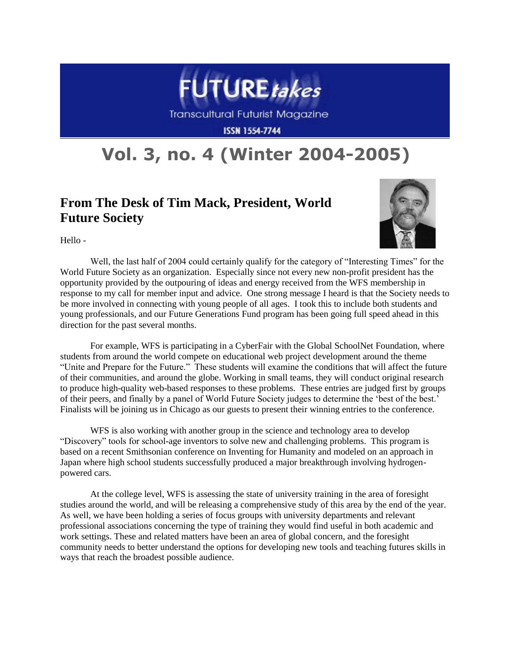

**ISSN 1554-7744** 

## **Vol. 3, no. 4 (Winter 2004-2005)**

## **From The Desk of Tim Mack, President, World Future Society**



Hello -

Well, the last half of 2004 could certainly qualify for the category of "Interesting Times" for the World Future Society as an organization. Especially since not every new non-profit president has the opportunity provided by the outpouring of ideas and energy received from the WFS membership in response to my call for member input and advice. One strong message I heard is that the Society needs to be more involved in connecting with young people of all ages. I took this to include both students and young professionals, and our Future Generations Fund program has been going full speed ahead in this direction for the past several months.

For example, WFS is participating in a CyberFair with the Global SchoolNet Foundation, where students from around the world compete on educational web project development around the theme "Unite and Prepare for the Future." These students will examine the conditions that will affect the future of their communities, and around the globe. Working in small teams, they will conduct original research to produce high-quality web-based responses to these problems. These entries are judged first by groups of their peers, and finally by a panel of World Future Society judges to determine the "best of the best." Finalists will be joining us in Chicago as our guests to present their winning entries to the conference.

WFS is also working with another group in the science and technology area to develop "Discovery" tools for school-age inventors to solve new and challenging problems. This program is based on a recent Smithsonian conference on Inventing for Humanity and modeled on an approach in Japan where high school students successfully produced a major breakthrough involving hydrogenpowered cars.

At the college level, WFS is assessing the state of university training in the area of foresight studies around the world, and will be releasing a comprehensive study of this area by the end of the year. As well, we have been holding a series of focus groups with university departments and relevant professional associations concerning the type of training they would find useful in both academic and work settings. These and related matters have been an area of global concern, and the foresight community needs to better understand the options for developing new tools and teaching futures skills in ways that reach the broadest possible audience.